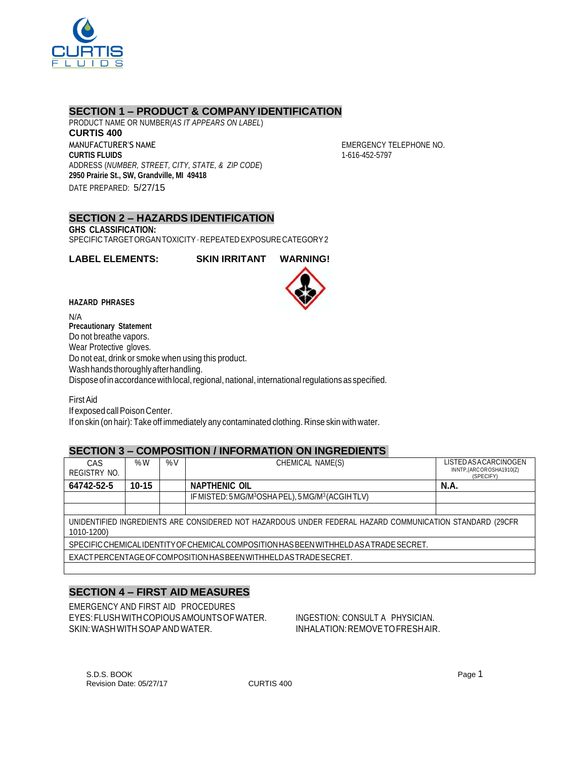

### **SECTION 1 – PRODUCT & COMPANY IDENTIFICATION**

PRODUCT NAME OR NUMBER(*AS IT APPEARS ON LABEL*) **CURTIS 400** MANUFACTURER'S NAME **CURTIS FLUIDS** ADDRESS (*NUMBER, STREET, CITY, STATE, & ZIP CODE*) **2950 Prairie St., SW, Grandville, MI 49418** DATE PREPARED: 5/27/15

EMERGENCY TELEPHONE NO. 1-616-452-5797

#### **SECTION 2 – HAZARDS IDENTIFICATION GHS CLASSIFICATION:** SPECIFICTARGETORGANTOXICITY–REPEATEDEXPOSURECATEGORY2

**LABEL ELEMENTS: SKIN IRRITANT WARNING!**



**HAZARD PHRASES**

N/A **Precautionary Statement** Do not breathe vapors. Wear Protective gloves. Do not eat, drink or smoke when using this product. Wash hands thoroughly after handling. Dispose of in accordance with local, regional, national, international regulations as specified.

FirstAid If exposed call Poison Center. If on skin (on hair): Take off immediately any contaminated clothing. Rinse skin with water.

### **SECTION 3 – COMPOSITION / INFORMATION ON INGREDIENTS**

| CAS                                                                                                      | %W        | %V | CHEMICAL NAME(S)                                                          | LISTED AS A CARCINOGEN  |  |  |
|----------------------------------------------------------------------------------------------------------|-----------|----|---------------------------------------------------------------------------|-------------------------|--|--|
|                                                                                                          |           |    |                                                                           | INNTP,(ARCOROSHA1910(Z) |  |  |
| REGISTRY NO.                                                                                             |           |    |                                                                           | (SPECIFY)               |  |  |
|                                                                                                          |           |    |                                                                           |                         |  |  |
| 64742-52-5                                                                                               | $10 - 15$ |    | <b>NAPTHENIC OIL</b>                                                      | <b>N.A.</b>             |  |  |
|                                                                                                          |           |    | IF MISTED: 5 MG/M <sup>3</sup> OSHA PEL), 5 MG/M <sup>3</sup> (ACGIH TLV) |                         |  |  |
|                                                                                                          |           |    |                                                                           |                         |  |  |
| UNIDENTIFIED INGREDIENTS ARE CONSIDERED NOT HAZARDOUS UNDER FEDERAL HAZARD COMMUNICATION STANDARD (29CFR |           |    |                                                                           |                         |  |  |
| 1010-1200)                                                                                               |           |    |                                                                           |                         |  |  |
| SPECIFIC CHEMICALIDENTITY OF CHEMICAL COMPOSITION HAS BEEN WITHHELD AS A TRADE SECRET.                   |           |    |                                                                           |                         |  |  |
|                                                                                                          |           |    |                                                                           |                         |  |  |
| EXACT PERCENTAGE OF COMPOSITION HAS BEEN WITH HELD AS TRADE SECRET.                                      |           |    |                                                                           |                         |  |  |
|                                                                                                          |           |    |                                                                           |                         |  |  |

# **SECTION 4 – FIRST AID MEASURES**

EMERGENCY AND FIRST AID PROCEDURES EYES:FLUSHWITHCOPIOUSAMOUNTSOFWATER. INGESTION: CONSULT A PHYSICIAN. SKIN: WASH WITH SOAP AND WATER. IN A BOOK INHALATION: REMOVE TO FRESHAIR.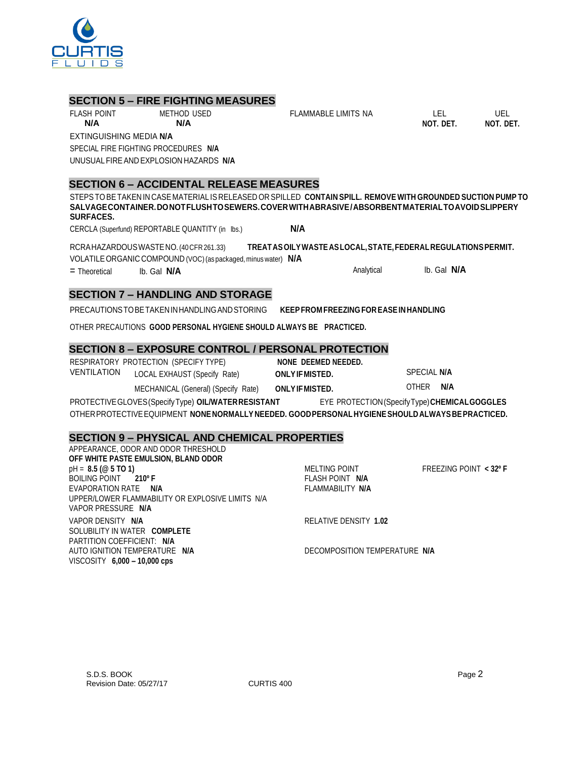

#### **SECTION 5 – FIRE FIGHTING MEASURES**

FLASH POINT METHOD USED

FLAMMABLE LIMITS NA LEL LEL UEL

**NOT. DET. NOT. DET.**

**N/A N/A** EXTINGUISHING MEDIA **N/A** SPECIAL FIRE FIGHTING PROCEDURES **N/A** UNUSUALFIREAND EXPLOSION HAZARDS **N/A**

### **SECTION 6 – ACCIDENTAL RELEASE MEASURES**

STEPSTOBETAKEN IN CASE MATERIAL IS RELEASED OR SPILLED **CONTAIN SPILL. REMOVE WITH GROUNDED SUCTION PUMP TO SALVAGECONTAINER.DONOTFLUSHTOSEWERS.COVERWITHABRASIVE/ABSORBENTMATERIALTOAVOIDSLIPPERY SURFACES.**

CERCLA (Superfund) REPORTABLE QUANTITY (in lbs.) **N/A**

RCRAHAZARDOUSWASTENO.(40CFR261.33) **TREATASOILYWASTEASLOCAL,STATE,FEDERALREGULATIONSPERMIT.** VOLATILEORGANIC COMPOUND (VOC)(as packaged, minus water) **N/A**

= Theoretical lb. Gal **N/A** Analytical lb. Gal **N/A**

# **SECTION 7 – HANDLING AND STORAGE**

PRECAUTIONSTOBETAKENINHANDLINGANDSTORING **KEEPFROM FREEZING FOREASEINHANDLING**

OTHER PRECAUTIONS **GOOD PERSONAL HYGIENE SHOULD ALWAYS BE PRACTICED.**

## **SECTION 8 – EXPOSURE CONTROL / PERSONAL PROTECTION**

RESPIRATORY PROTECTION (SPECIFY TYPE) **NONE DEEMED NEEDED.** VENTILATION LOCAL EXHAUST (Specify Rate) **ONLYIFMISTED.** SPECIAL **N/A**

MECHANICAL (General) (Specify Rate) **ONLYIFMISTED.** OTHER **N/A**

PROTECTIVEGLOVES(SpecifyType) **OIL/WATERRESISTANT** EYE PROTECTION(SpecifyType)**CHEMICALGOGGLES** OTHERPROTECTIVEEQUIPMENT **NONENORMALLY NEEDED. GOODPERSONALHYGIENESHOULDALWAYSBEPRACTICED.**

### **SECTION 9 – PHYSICAL AND CHEMICAL PROPERTIES**

| APPEARANCE, ODOR AND ODOR THRESHOLD              |                               |                        |
|--------------------------------------------------|-------------------------------|------------------------|
| OFF WHITE PASTE EMULSION, BLAND ODOR             |                               |                        |
| $pH = 8.5 (@ 5 TO 1)$                            | MELTING POINT                 | FREEZING POINT < 32º F |
| BOILING POINT 210° F                             | FLASH POINT N/A               |                        |
| EVAPORATION RATE N/A                             | FLAMMABILITY N/A              |                        |
| UPPER/LOWER FLAMMABILITY OR EXPLOSIVE LIMITS N/A |                               |                        |
| VAPOR PRESSURE N/A                               |                               |                        |
| VAPOR DENSITY N/A                                | RELATIVE DENSITY 1.02         |                        |
| SOLUBILITY IN WATER COMPLETE                     |                               |                        |
| PARTITION COEFFICIENT: N/A                       |                               |                        |
| AUTO IGNITION TEMPERATURE N/A                    | DECOMPOSITION TEMPERATURE N/A |                        |
| $VISCOSITY$ 6,000 - 10,000 cps                   |                               |                        |